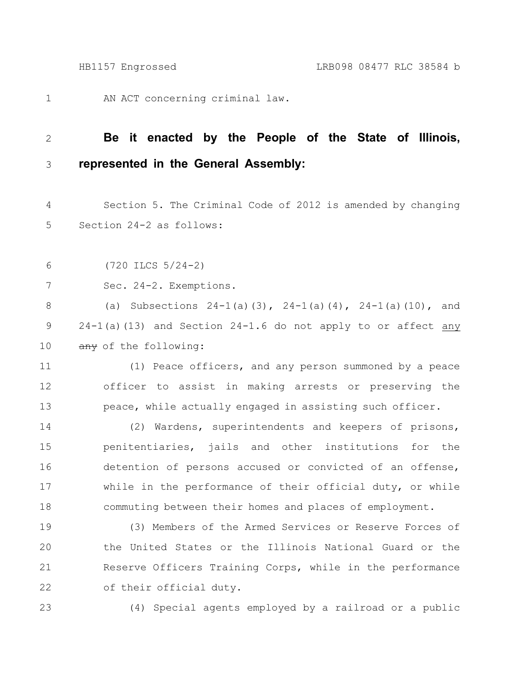AN ACT concerning criminal law. 1

## **Be it enacted by the People of the State of Illinois, represented in the General Assembly:** 2 3

Section 5. The Criminal Code of 2012 is amended by changing Section 24-2 as follows: 4 5

(720 ILCS 5/24-2) 6

Sec. 24-2. Exemptions. 7

(a) Subsections  $24-1$  (a)(3),  $24-1$  (a)(4),  $24-1$  (a)(10), and 24-1(a)(13) and Section 24-1.6 do not apply to or affect any any of the following: 8 9 10

(1) Peace officers, and any person summoned by a peace officer to assist in making arrests or preserving the peace, while actually engaged in assisting such officer. 11 12 13

(2) Wardens, superintendents and keepers of prisons, penitentiaries, jails and other institutions for the detention of persons accused or convicted of an offense, while in the performance of their official duty, or while commuting between their homes and places of employment. 14 15 16 17 18

(3) Members of the Armed Services or Reserve Forces of the United States or the Illinois National Guard or the Reserve Officers Training Corps, while in the performance of their official duty. 19 20 21 22

23

(4) Special agents employed by a railroad or a public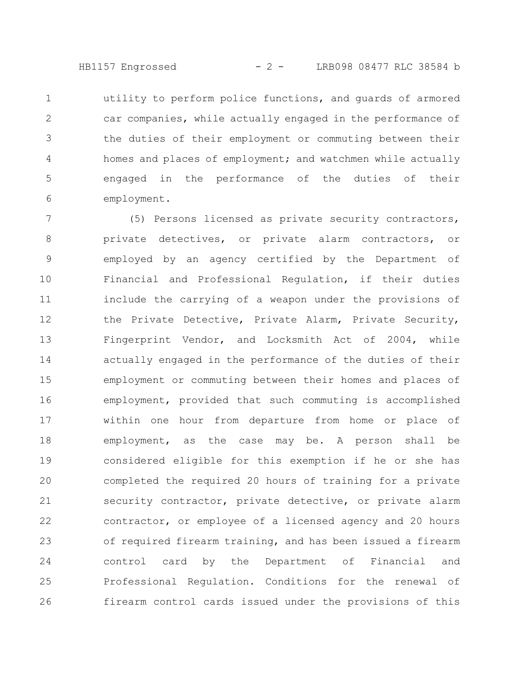HB1157 Engrossed - 2 - LRB098 08477 RLC 38584 b

utility to perform police functions, and guards of armored car companies, while actually engaged in the performance of the duties of their employment or commuting between their homes and places of employment; and watchmen while actually engaged in the performance of the duties of their employment. 1 2 3 4 5 6

(5) Persons licensed as private security contractors, private detectives, or private alarm contractors, or employed by an agency certified by the Department of Financial and Professional Regulation, if their duties include the carrying of a weapon under the provisions of the Private Detective, Private Alarm, Private Security, Fingerprint Vendor, and Locksmith Act of 2004, while actually engaged in the performance of the duties of their employment or commuting between their homes and places of employment, provided that such commuting is accomplished within one hour from departure from home or place of employment, as the case may be. A person shall be considered eligible for this exemption if he or she has completed the required 20 hours of training for a private security contractor, private detective, or private alarm contractor, or employee of a licensed agency and 20 hours of required firearm training, and has been issued a firearm control card by the Department of Financial and Professional Regulation. Conditions for the renewal of firearm control cards issued under the provisions of this 7 8 9 10 11 12 13 14 15 16 17 18 19 20 21 22 23 24 25 26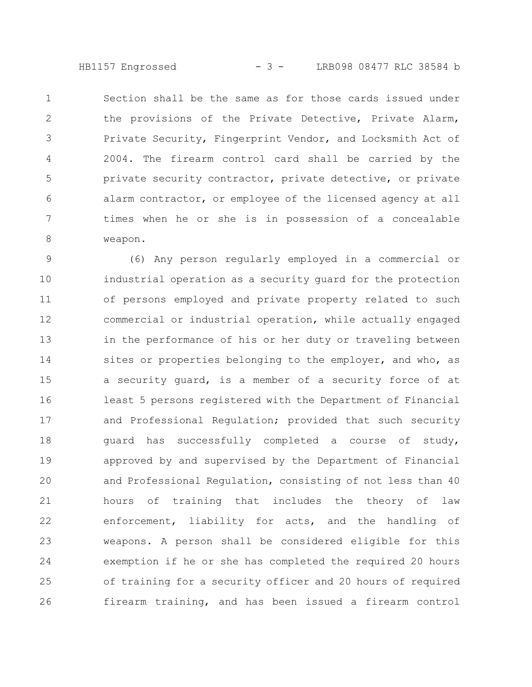HB1157 Engrossed - 3 - LRB098 08477 RLC 38584 b

Section shall be the same as for those cards issued under the provisions of the Private Detective, Private Alarm, Private Security, Fingerprint Vendor, and Locksmith Act of 2004. The firearm control card shall be carried by the private security contractor, private detective, or private alarm contractor, or employee of the licensed agency at all times when he or she is in possession of a concealable weapon. 1 2 3 4 5 6 7 8

(6) Any person regularly employed in a commercial or industrial operation as a security guard for the protection of persons employed and private property related to such commercial or industrial operation, while actually engaged in the performance of his or her duty or traveling between sites or properties belonging to the employer, and who, as a security guard, is a member of a security force of at least 5 persons registered with the Department of Financial and Professional Regulation; provided that such security guard has successfully completed a course of study, approved by and supervised by the Department of Financial and Professional Regulation, consisting of not less than 40 hours of training that includes the theory of law enforcement, liability for acts, and the handling of weapons. A person shall be considered eligible for this exemption if he or she has completed the required 20 hours of training for a security officer and 20 hours of required firearm training, and has been issued a firearm control 9 10 11 12 13 14 15 16 17 18 19 20 21 22 23 24 25 26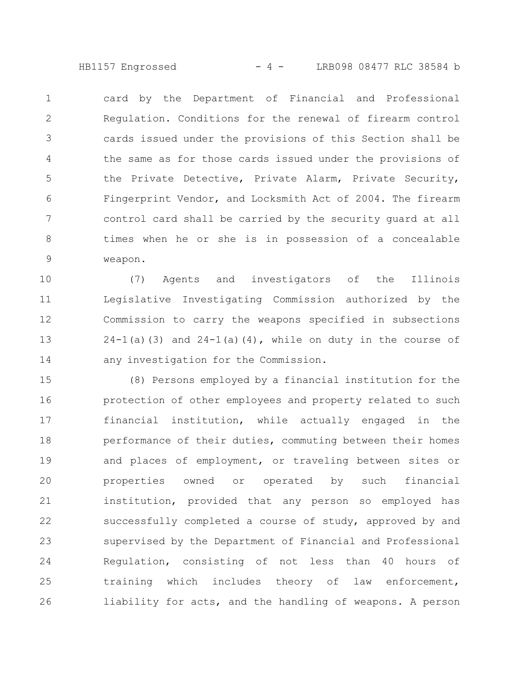HB1157 Engrossed - 4 - LRB098 08477 RLC 38584 b

card by the Department of Financial and Professional Regulation. Conditions for the renewal of firearm control cards issued under the provisions of this Section shall be the same as for those cards issued under the provisions of the Private Detective, Private Alarm, Private Security, Fingerprint Vendor, and Locksmith Act of 2004. The firearm control card shall be carried by the security guard at all times when he or she is in possession of a concealable weapon. 1 2 3 4 5 6 7 8 9

(7) Agents and investigators of the Illinois Legislative Investigating Commission authorized by the Commission to carry the weapons specified in subsections  $24-1$ (a)(3) and  $24-1$ (a)(4), while on duty in the course of any investigation for the Commission. 10 11 12 13 14

(8) Persons employed by a financial institution for the protection of other employees and property related to such financial institution, while actually engaged in the performance of their duties, commuting between their homes and places of employment, or traveling between sites or properties owned or operated by such financial institution, provided that any person so employed has successfully completed a course of study, approved by and supervised by the Department of Financial and Professional Regulation, consisting of not less than 40 hours of training which includes theory of law enforcement, liability for acts, and the handling of weapons. A person 15 16 17 18 19 20 21 22 23 24 25 26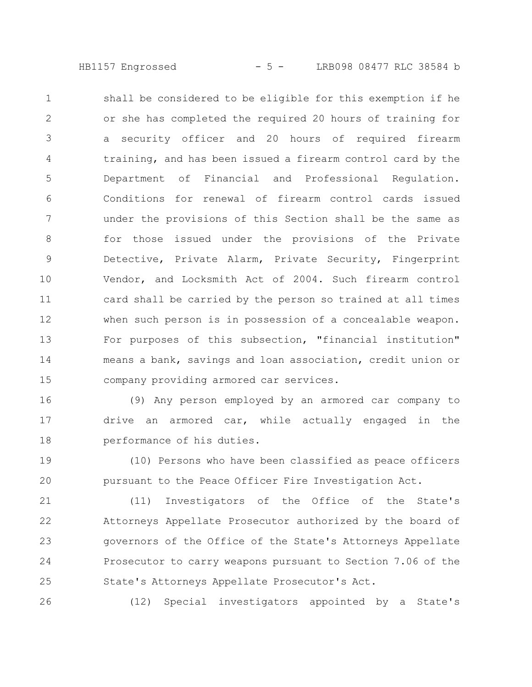HB1157 Engrossed - 5 - LRB098 08477 RLC 38584 b

shall be considered to be eligible for this exemption if he or she has completed the required 20 hours of training for a security officer and 20 hours of required firearm training, and has been issued a firearm control card by the Department of Financial and Professional Regulation. Conditions for renewal of firearm control cards issued under the provisions of this Section shall be the same as for those issued under the provisions of the Private Detective, Private Alarm, Private Security, Fingerprint Vendor, and Locksmith Act of 2004. Such firearm control card shall be carried by the person so trained at all times when such person is in possession of a concealable weapon. For purposes of this subsection, "financial institution" means a bank, savings and loan association, credit union or company providing armored car services. 1 2 3 4 5 6 7 8 9 10 11 12 13 14 15

(9) Any person employed by an armored car company to drive an armored car, while actually engaged in the performance of his duties. 16 17 18

(10) Persons who have been classified as peace officers pursuant to the Peace Officer Fire Investigation Act. 19 20

(11) Investigators of the Office of the State's Attorneys Appellate Prosecutor authorized by the board of governors of the Office of the State's Attorneys Appellate Prosecutor to carry weapons pursuant to Section 7.06 of the State's Attorneys Appellate Prosecutor's Act. 21 22 23 24 25

26

(12) Special investigators appointed by a State's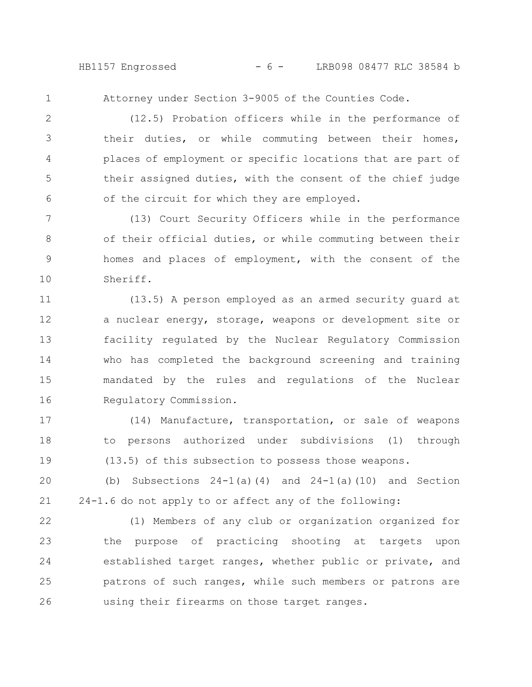HB1157 Engrossed - 6 - LRB098 08477 RLC 38584 b

1

Attorney under Section 3-9005 of the Counties Code.

(12.5) Probation officers while in the performance of their duties, or while commuting between their homes, places of employment or specific locations that are part of their assigned duties, with the consent of the chief judge of the circuit for which they are employed. 2 3 4 5 6

(13) Court Security Officers while in the performance of their official duties, or while commuting between their homes and places of employment, with the consent of the Sheriff. 7 8 9 10

(13.5) A person employed as an armed security guard at a nuclear energy, storage, weapons or development site or facility regulated by the Nuclear Regulatory Commission who has completed the background screening and training mandated by the rules and regulations of the Nuclear Regulatory Commission. 11 12 13 14 15 16

(14) Manufacture, transportation, or sale of weapons to persons authorized under subdivisions (1) through (13.5) of this subsection to possess those weapons. 17 18 19

(b) Subsections  $24-1$  (a) (4) and  $24-1$  (a) (10) and Section 24-1.6 do not apply to or affect any of the following: 20 21

(1) Members of any club or organization organized for the purpose of practicing shooting at targets upon established target ranges, whether public or private, and patrons of such ranges, while such members or patrons are using their firearms on those target ranges. 22 23 24 25 26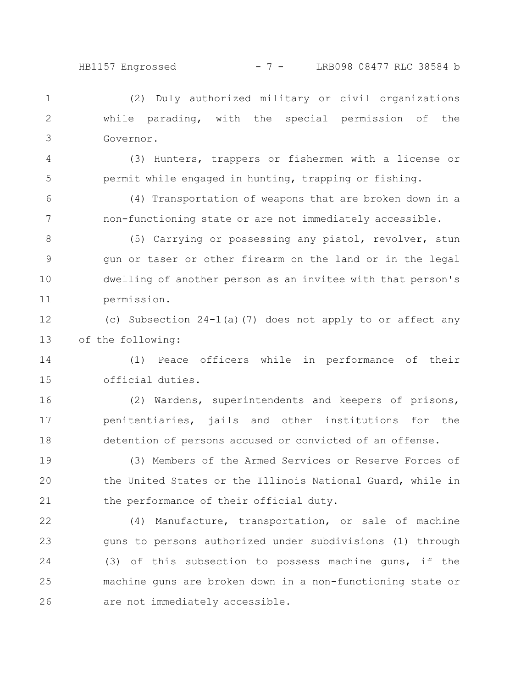4

5

## HB1157 Engrossed - 7 - LRB098 08477 RLC 38584 b

(2) Duly authorized military or civil organizations while parading, with the special permission of the Governor. 1 2 3

(3) Hunters, trappers or fishermen with a license or permit while engaged in hunting, trapping or fishing.

(4) Transportation of weapons that are broken down in a non-functioning state or are not immediately accessible. 6 7

(5) Carrying or possessing any pistol, revolver, stun gun or taser or other firearm on the land or in the legal dwelling of another person as an invitee with that person's permission. 8 9 10 11

(c) Subsection 24-1(a)(7) does not apply to or affect any of the following: 12 13

(1) Peace officers while in performance of their official duties. 14 15

(2) Wardens, superintendents and keepers of prisons, penitentiaries, jails and other institutions for the detention of persons accused or convicted of an offense. 16 17 18

(3) Members of the Armed Services or Reserve Forces of the United States or the Illinois National Guard, while in the performance of their official duty. 19 20 21

(4) Manufacture, transportation, or sale of machine guns to persons authorized under subdivisions (1) through (3) of this subsection to possess machine guns, if the machine guns are broken down in a non-functioning state or are not immediately accessible. 22 23 24 25 26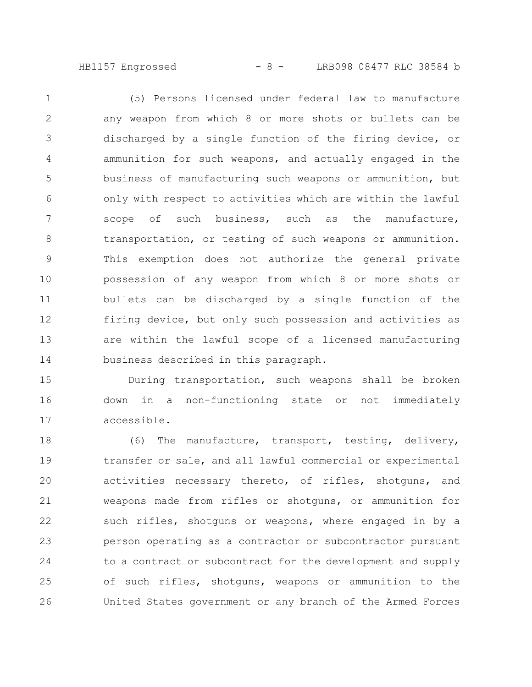HB1157 Engrossed - 8 - LRB098 08477 RLC 38584 b

(5) Persons licensed under federal law to manufacture any weapon from which 8 or more shots or bullets can be discharged by a single function of the firing device, or ammunition for such weapons, and actually engaged in the business of manufacturing such weapons or ammunition, but only with respect to activities which are within the lawful scope of such business, such as the manufacture, transportation, or testing of such weapons or ammunition. This exemption does not authorize the general private possession of any weapon from which 8 or more shots or bullets can be discharged by a single function of the firing device, but only such possession and activities as are within the lawful scope of a licensed manufacturing business described in this paragraph. 1 2 3 4 5 6 7 8 9 10 11 12 13 14

During transportation, such weapons shall be broken down in a non-functioning state or not immediately accessible. 15 16 17

(6) The manufacture, transport, testing, delivery, transfer or sale, and all lawful commercial or experimental activities necessary thereto, of rifles, shotguns, and weapons made from rifles or shotguns, or ammunition for such rifles, shotguns or weapons, where engaged in by a person operating as a contractor or subcontractor pursuant to a contract or subcontract for the development and supply of such rifles, shotguns, weapons or ammunition to the United States government or any branch of the Armed Forces 18 19 20 21 22 23 24 25 26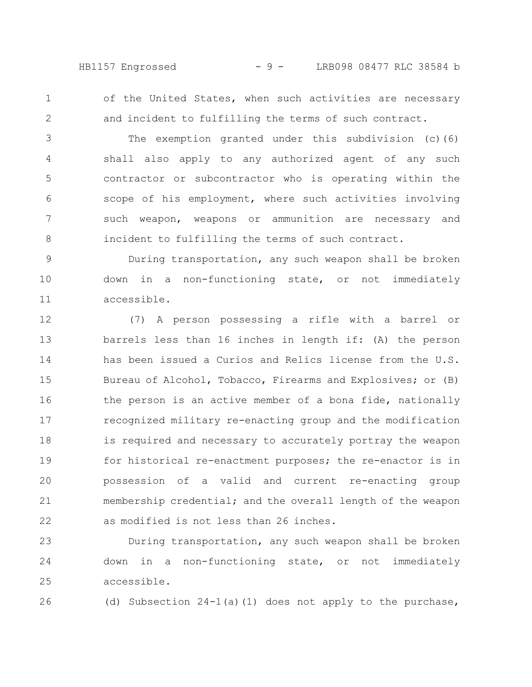HB1157 Engrossed - 9 - LRB098 08477 RLC 38584 b

1 2

26

of the United States, when such activities are necessary and incident to fulfilling the terms of such contract.

The exemption granted under this subdivision (c)(6) shall also apply to any authorized agent of any such contractor or subcontractor who is operating within the scope of his employment, where such activities involving such weapon, weapons or ammunition are necessary and incident to fulfilling the terms of such contract. 3 4 5 6 7 8

During transportation, any such weapon shall be broken down in a non-functioning state, or not immediately accessible. 9 10 11

(7) A person possessing a rifle with a barrel or barrels less than 16 inches in length if: (A) the person has been issued a Curios and Relics license from the U.S. Bureau of Alcohol, Tobacco, Firearms and Explosives; or (B) the person is an active member of a bona fide, nationally recognized military re-enacting group and the modification is required and necessary to accurately portray the weapon for historical re-enactment purposes; the re-enactor is in possession of a valid and current re-enacting group membership credential; and the overall length of the weapon as modified is not less than 26 inches. 12 13 14 15 16 17 18 19 20 21 22

During transportation, any such weapon shall be broken down in a non-functioning state, or not immediately accessible. 23 24 25

(d) Subsection 24-1(a)(1) does not apply to the purchase,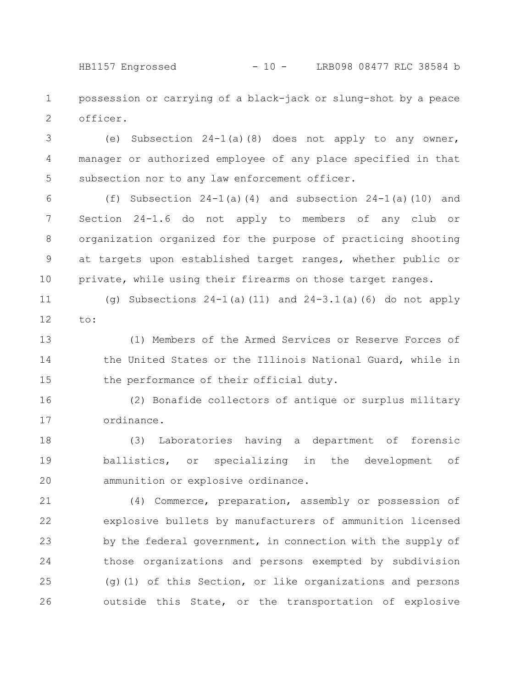HB1157 Engrossed - 10 - LRB098 08477 RLC 38584 b

possession or carrying of a black-jack or slung-shot by a peace officer. 1 2

(e) Subsection 24-1(a)(8) does not apply to any owner, manager or authorized employee of any place specified in that subsection nor to any law enforcement officer. 3 4 5

(f) Subsection  $24-1$  (a)(4) and subsection  $24-1$  (a)(10) and Section 24-1.6 do not apply to members of any club or organization organized for the purpose of practicing shooting at targets upon established target ranges, whether public or private, while using their firearms on those target ranges. 6 7 8 9 10

(g) Subsections  $24-1$  (a) (11) and  $24-3.1$  (a) (6) do not apply to: 11 12

(1) Members of the Armed Services or Reserve Forces of the United States or the Illinois National Guard, while in the performance of their official duty. 13 14 15

(2) Bonafide collectors of antique or surplus military ordinance. 16 17

(3) Laboratories having a department of forensic ballistics, or specializing in the development of ammunition or explosive ordinance. 18 19 20

(4) Commerce, preparation, assembly or possession of explosive bullets by manufacturers of ammunition licensed by the federal government, in connection with the supply of those organizations and persons exempted by subdivision (g)(1) of this Section, or like organizations and persons outside this State, or the transportation of explosive 21 22 23 24 25 26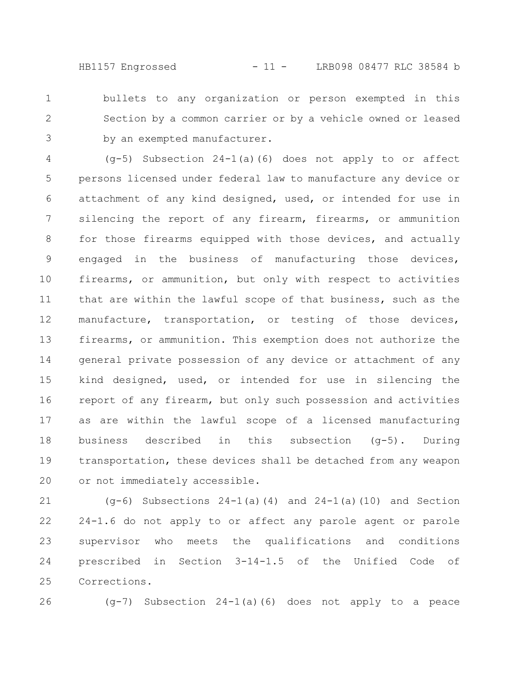HB1157 Engrossed - 11 - LRB098 08477 RLC 38584 b

bullets to any organization or person exempted in this Section by a common carrier or by a vehicle owned or leased by an exempted manufacturer. 1 2 3

 $(q-5)$  Subsection 24-1(a)(6) does not apply to or affect persons licensed under federal law to manufacture any device or attachment of any kind designed, used, or intended for use in silencing the report of any firearm, firearms, or ammunition for those firearms equipped with those devices, and actually engaged in the business of manufacturing those devices, firearms, or ammunition, but only with respect to activities that are within the lawful scope of that business, such as the manufacture, transportation, or testing of those devices, firearms, or ammunition. This exemption does not authorize the general private possession of any device or attachment of any kind designed, used, or intended for use in silencing the report of any firearm, but only such possession and activities as are within the lawful scope of a licensed manufacturing business described in this subsection (g-5). During transportation, these devices shall be detached from any weapon or not immediately accessible. 4 5 6 7 8 9 10 11 12 13 14 15 16 17 18 19 20

(g-6) Subsections 24-1(a)(4) and 24-1(a)(10) and Section 24-1.6 do not apply to or affect any parole agent or parole supervisor who meets the qualifications and conditions prescribed in Section 3-14-1.5 of the Unified Code of Corrections. 21 22 23 24 25

26

(g-7) Subsection 24-1(a)(6) does not apply to a peace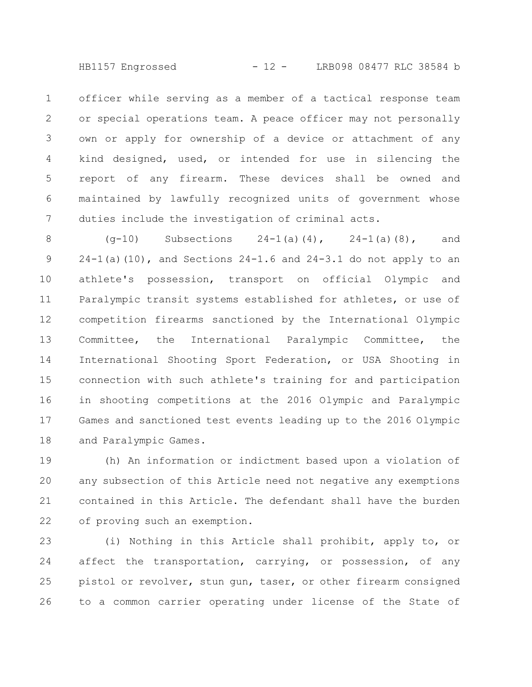HB1157 Engrossed - 12 - LRB098 08477 RLC 38584 b

officer while serving as a member of a tactical response team or special operations team. A peace officer may not personally own or apply for ownership of a device or attachment of any kind designed, used, or intended for use in silencing the report of any firearm. These devices shall be owned and maintained by lawfully recognized units of government whose duties include the investigation of criminal acts. 1 2 3 4 5 6 7

 $(q-10)$  Subsections  $24-1(a)(4)$ ,  $24-1(a)(8)$ , and  $24-1$ (a)(10), and Sections  $24-1.6$  and  $24-3.1$  do not apply to an athlete's possession, transport on official Olympic and Paralympic transit systems established for athletes, or use of competition firearms sanctioned by the International Olympic Committee, the International Paralympic Committee, the International Shooting Sport Federation, or USA Shooting in connection with such athlete's training for and participation in shooting competitions at the 2016 Olympic and Paralympic Games and sanctioned test events leading up to the 2016 Olympic and Paralympic Games. 8 9 10 11 12 13 14 15 16 17 18

(h) An information or indictment based upon a violation of any subsection of this Article need not negative any exemptions contained in this Article. The defendant shall have the burden of proving such an exemption. 19 20 21 22

(i) Nothing in this Article shall prohibit, apply to, or affect the transportation, carrying, or possession, of any pistol or revolver, stun gun, taser, or other firearm consigned to a common carrier operating under license of the State of 23 24 25 26